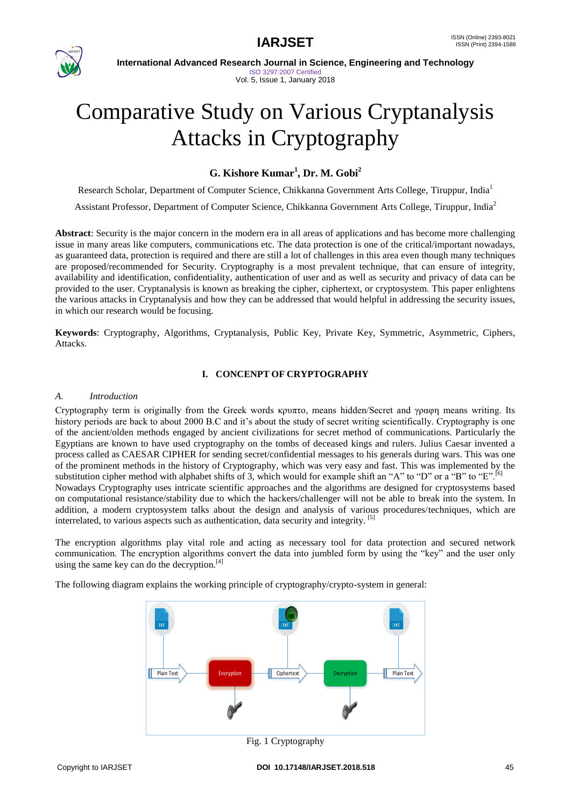

 **International Advanced Research Journal in Science, Engineering and Technology** ISO 3297:2007 Certified

# Vol. 5, Issue 1, January 2018

# Comparative Study on Various Cryptanalysis Attacks in Cryptography

# **G. Kishore Kumar<sup>1</sup> , Dr. M. Gobi<sup>2</sup>**

Research Scholar, Department of Computer Science, Chikkanna Government Arts College, Tiruppur, India<sup>1</sup>

Assistant Professor, Department of Computer Science, Chikkanna Government Arts College, Tiruppur, India<sup>2</sup>

**Abstract**: Security is the major concern in the modern era in all areas of applications and has become more challenging issue in many areas like computers, communications etc. The data protection is one of the critical/important nowadays, as guaranteed data, protection is required and there are still a lot of challenges in this area even though many techniques are proposed/recommended for Security. Cryptography is a most prevalent technique, that can ensure of integrity, availability and identification, confidentiality, authentication of user and as well as security and privacy of data can be provided to the user. Cryptanalysis is known as breaking the cipher, ciphertext, or cryptosystem. This paper enlightens the various attacks in Cryptanalysis and how they can be addressed that would helpful in addressing the security issues, in which our research would be focusing.

**Keywords**: Cryptography, Algorithms, Cryptanalysis, Public Key, Private Key, Symmetric, Asymmetric, Ciphers, Attacks.

# **I. CONCENPT OF CRYPTOGRAPHY**

#### *A. Introduction*

Cryptography term is originally from the Greek words κρυπτο, means hidden/Secret and γραφη means writing. Its history periods are back to about 2000 B.C and it's about the study of secret writing scientifically. Cryptography is one of the ancient/olden methods engaged by ancient civilizations for secret method of communications. Particularly the Egyptians are known to have used cryptography on the tombs of deceased kings and rulers. Julius Caesar invented a process called as CAESAR CIPHER for sending secret/confidential messages to his generals during wars. This was one of the prominent methods in the history of Cryptography, which was very easy and fast. This was implemented by the substitution cipher method with alphabet shifts of 3, which would for example shift an "A" to "D" or a "B" to "E".<sup>[6]</sup> Nowadays Cryptography uses intricate scientific approaches and the algorithms are designed for cryptosystems based on computational resistance/stability due to which the hackers/challenger will not be able to break into the system. In addition, a modern cryptosystem talks about the design and analysis of various procedures/techniques, which are interrelated, to various aspects such as authentication, data security and integrity. [5]

The encryption algorithms play vital role and acting as necessary tool for data protection and secured network communication. The encryption algorithms convert the data into jumbled form by using the "key" and the user only using the same key can do the decryption.<sup>[4]</sup>

> Plain Text > **Encryption Plain Text** Ciphertext > Decryption Plain Text Fig. 1 Cryptography

The following diagram explains the working principle of cryptography/crypto-system in general: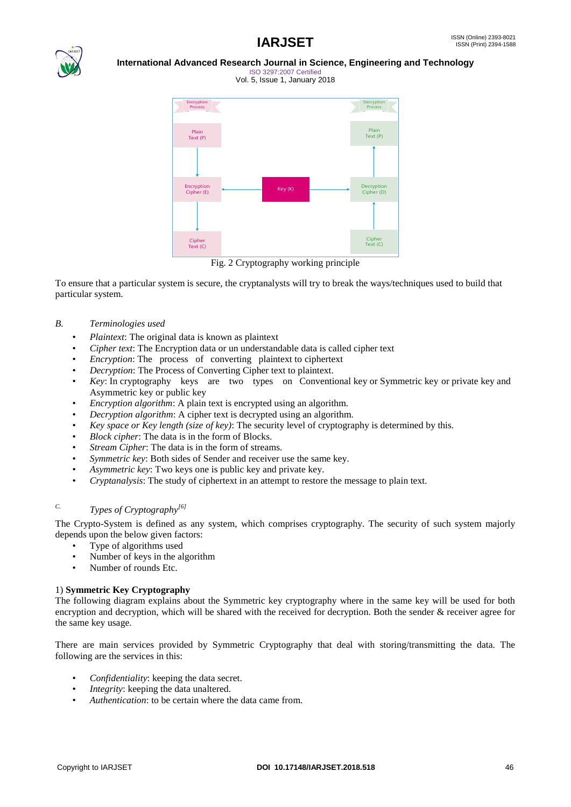

ISO 3297:2007 Certified Vol. 5, Issue 1, January 2018



Fig. 2 Cryptography working principle

To ensure that a particular system is secure, the cryptanalysts will try to break the ways/techniques used to build that particular system.

### *B. Terminologies used*

- *Plaintext*: The original data is known as plaintext
- *Cipher text*: The Encryption data or un understandable data is called cipher text
- *Encryption*: The process of converting plaintext to ciphertext
- *Decryption*: The Process of Converting Cipher text to plaintext.
- *Key*: In cryptography keys are two types on Conventional key or Symmetric key or private key and Asymmetric key or public key
- *Encryption algorithm*: A plain text is encrypted using an algorithm.
- *Decryption algorithm*: A cipher text is decrypted using an algorithm.
- *Key space or Key length (size of key)*: The security level of cryptography is determined by this.
- *Block cipher*: The data is in the form of Blocks.
- *Stream Cipher*: The data is in the form of streams.
- *Symmetric key*: Both sides of Sender and receiver use the same key.
- *Asymmetric key*: Two keys one is public key and private key.
- *Cryptanalysis*: The study of ciphertext in an attempt to restore the message to plain text.

# *C. Types of Cryptography[6]*

The Crypto-System is defined as any system, which comprises cryptography. The security of such system majorly depends upon the below given factors:

- Type of algorithms used
- Number of keys in the algorithm
- Number of rounds Etc.

### 1) **Symmetric Key Cryptography**

The following diagram explains about the Symmetric key cryptography where in the same key will be used for both encryption and decryption, which will be shared with the received for decryption. Both the sender & receiver agree for the same key usage.

There are main services provided by Symmetric Cryptography that deal with storing/transmitting the data. The following are the services in this:

- *Confidentiality*: keeping the data secret.
- *Integrity*: keeping the data unaltered.
- *Authentication*: to be certain where the data came from.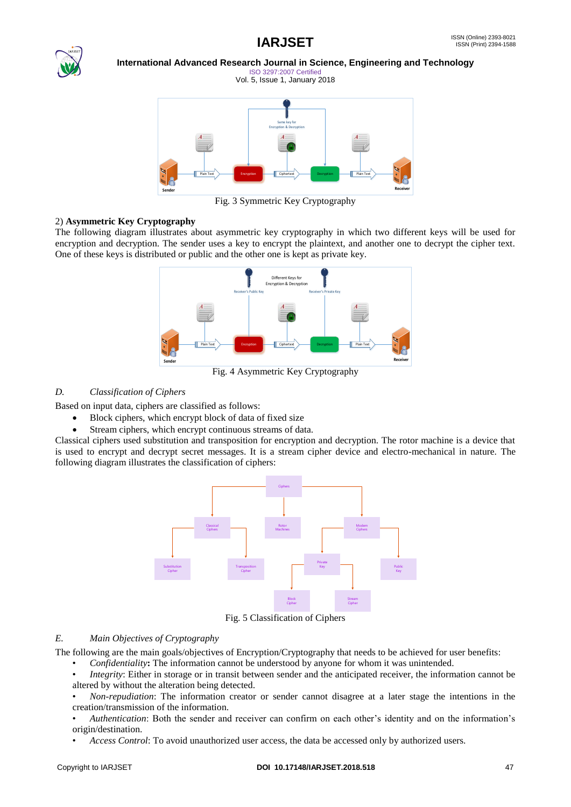

ISO 3297:2007 Certified Vol. 5, Issue 1, January 2018



Fig. 3 Symmetric Key Cryptography

# 2) **Asymmetric Key Cryptography**

The following diagram illustrates about asymmetric key cryptography in which two different keys will be used for encryption and decryption. The sender uses a key to encrypt the plaintext, and another one to decrypt the cipher text. One of these keys is distributed or public and the other one is kept as private key.



Fig. 4 Asymmetric Key Cryptography

# *D. Classification of Ciphers*

Based on input data, ciphers are classified as follows:

- Block ciphers, which encrypt block of data of fixed size
- Stream ciphers, which encrypt continuous streams of data.

Classical ciphers used substitution and transposition for encryption and decryption. The rotor machine is a device that is used to encrypt and decrypt secret messages. It is a stream cipher device and electro-mechanical in nature. The following diagram illustrates the classification of ciphers:



Fig. 5 Classification of Ciphers

### *E. Main Objectives of Cryptography*

The following are the main goals/objectives of Encryption/Cryptography that needs to be achieved for user benefits:

- *Confidentiality***:** The information cannot be understood by anyone for whom it was unintended.
- *Integrity*: Either in storage or in transit between sender and the anticipated receiver, the information cannot be altered by without the alteration being detected.
- *Non-repudiation*: The information creator or sender cannot disagree at a later stage the intentions in the creation/transmission of the information.
- *Authentication*: Both the sender and receiver can confirm on each other"s identity and on the information"s origin/destination.
- *Access Control*: To avoid unauthorized user access, the data be accessed only by authorized users.

#### Copyright to IARJSET **DOI 10.17148/IARJSET.2018.518** 47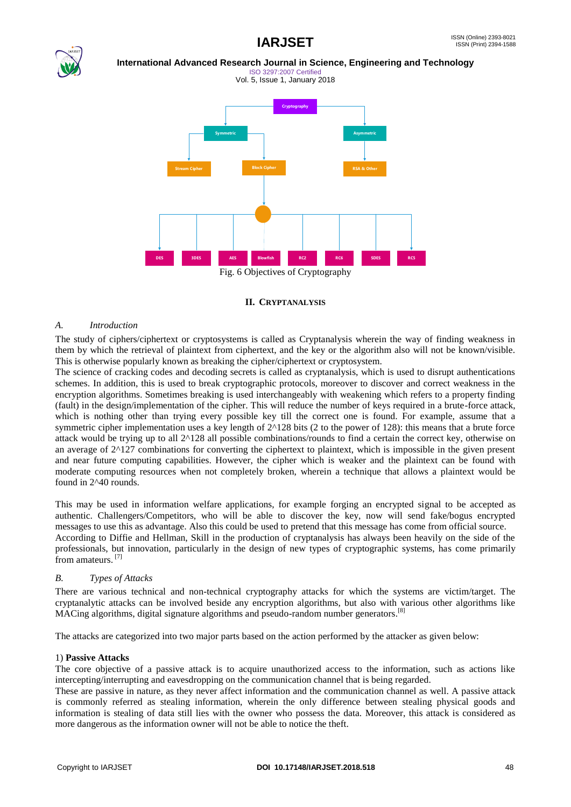

ISO 3297:2007 Certified Vol. 5, Issue 1, January 2018



#### **II. CRYPTANALYSIS**

#### *A. Introduction*

The study of ciphers/ciphertext or cryptosystems is called as Cryptanalysis wherein the way of finding weakness in them by which the retrieval of plaintext from ciphertext, and the key or the algorithm also will not be known/visible. This is otherwise popularly known as breaking the cipher/ciphertext or cryptosystem.

The science of cracking codes and decoding secrets is called as cryptanalysis, which is used to disrupt authentications schemes. In addition, this is used to break cryptographic protocols, moreover to discover and correct weakness in the encryption algorithms. Sometimes breaking is used interchangeably with weakening which refers to a property finding (fault) in the design/implementation of the cipher. This will reduce the number of keys required in a brute-force attack, which is nothing other than trying every possible key till the correct one is found. For example, assume that a symmetric cipher implementation uses a key length of  $2^{\wedge}128$  bits (2 to the power of 128): this means that a brute force attack would be trying up to all 2^128 all possible combinations/rounds to find a certain the correct key, otherwise on an average of  $2^{\wedge}127$  combinations for converting the ciphertext to plaintext, which is impossible in the given present and near future computing capabilities. However, the cipher which is weaker and the plaintext can be found with moderate computing resources when not completely broken, wherein a technique that allows a plaintext would be found in 2^40 rounds.

This may be used in information welfare applications, for example forging an encrypted signal to be accepted as authentic. Challengers/Competitors, who will be able to discover the key, now will send fake/bogus encrypted messages to use this as advantage. Also this could be used to pretend that this message has come from official source. According to Diffie and Hellman, Skill in the production of cryptanalysis has always been heavily on the side of the professionals, but innovation, particularly in the design of new types of cryptographic systems, has come primarily from amateurs.<sup>[7]</sup>

#### *B. Types of Attacks*

There are various technical and non-technical cryptography attacks for which the systems are victim/target. The cryptanalytic attacks can be involved beside any encryption algorithms, but also with various other algorithms like MACing algorithms, digital signature algorithms and pseudo-random number generators.<sup>[8]</sup>

The attacks are categorized into two major parts based on the action performed by the attacker as given below:

#### 1) **Passive Attacks**

The core objective of a passive attack is to acquire unauthorized access to the information, such as actions like intercepting/interrupting and eavesdropping on the communication channel that is being regarded.

These are passive in nature, as they never affect information and the communication channel as well. A passive attack is commonly referred as stealing information, wherein the only difference between stealing physical goods and information is stealing of data still lies with the owner who possess the data. Moreover, this attack is considered as more dangerous as the information owner will not be able to notice the theft.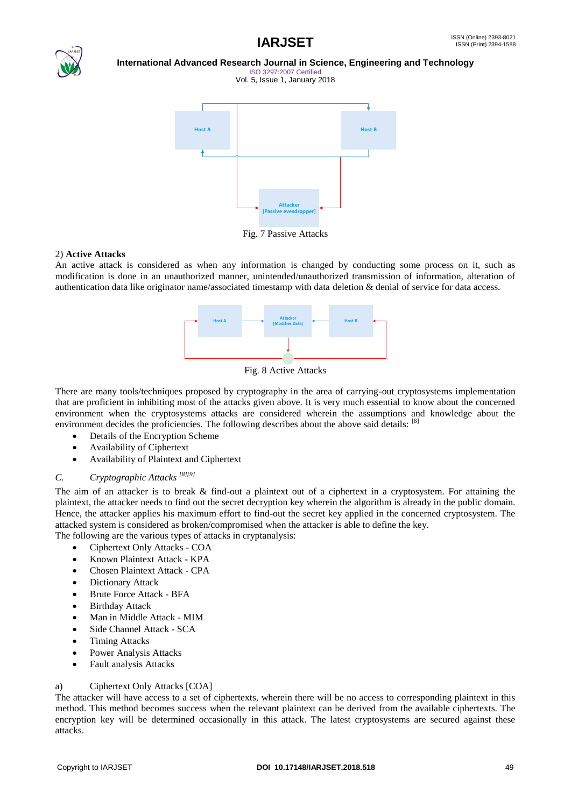



ISO 3297:2007 Certified Vol. 5, Issue 1, January 2018



Fig. 7 Passive Attacks

#### 2) **Active Attacks**

An active attack is considered as when any information is changed by conducting some process on it, such as modification is done in an unauthorized manner, unintended/unauthorized transmission of information, alteration of authentication data like originator name/associated timestamp with data deletion & denial of service for data access.



Fig. 8 Active Attacks

There are many tools/techniques proposed by cryptography in the area of carrying-out cryptosystems implementation that are proficient in inhibiting most of the attacks given above. It is very much essential to know about the concerned environment when the cryptosystems attacks are considered wherein the assumptions and knowledge about the environment decides the proficiencies. The following describes about the above said details: [8]

- Details of the Encryption Scheme
- Availability of Ciphertext
- Availability of Plaintext and Ciphertext

# *C. Cryptographic Attacks [8][9]*

The aim of an attacker is to break & find-out a plaintext out of a ciphertext in a cryptosystem. For attaining the plaintext, the attacker needs to find out the secret decryption key wherein the algorithm is already in the public domain. Hence, the attacker applies his maximum effort to find-out the secret key applied in the concerned cryptosystem. The attacked system is considered as broken/compromised when the attacker is able to define the key.

- The following are the various types of attacks in cryptanalysis:
	- Ciphertext Only Attacks COA
	- Known Plaintext Attack KPA
	- Chosen Plaintext Attack CPA
	- Dictionary Attack
	- Brute Force Attack BFA
	- Birthday Attack
	- Man in Middle Attack MIM
	- Side Channel Attack SCA
	- Timing Attacks
	- Power Analysis Attacks
	- Fault analysis Attacks

#### a) Ciphertext Only Attacks [COA]

The attacker will have access to a set of ciphertexts, wherein there will be no access to corresponding plaintext in this method. This method becomes success when the relevant plaintext can be derived from the available ciphertexts. The encryption key will be determined occasionally in this attack. The latest cryptosystems are secured against these attacks.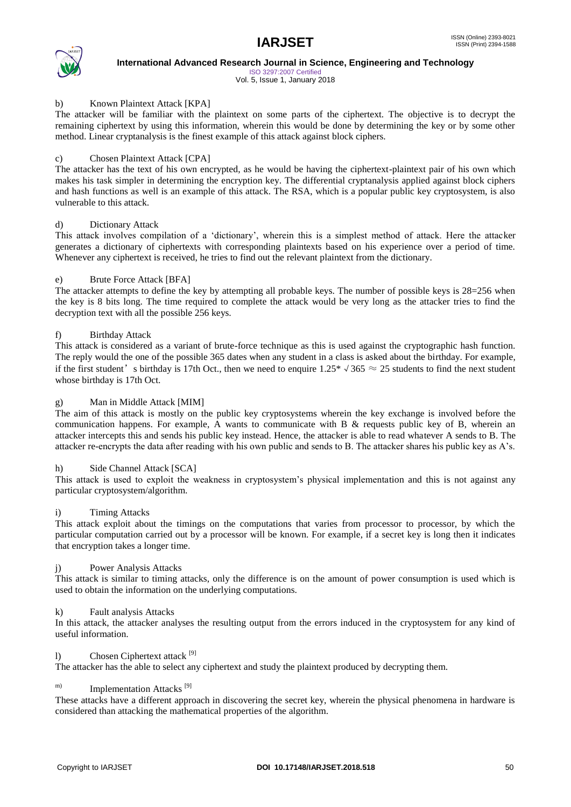

ISO 3297:2007 Certified Vol. 5, Issue 1, January 2018

#### b) Known Plaintext Attack [KPA]

The attacker will be familiar with the plaintext on some parts of the ciphertext. The objective is to decrypt the remaining ciphertext by using this information, wherein this would be done by determining the key or by some other method. Linear cryptanalysis is the finest example of this attack against block ciphers.

#### c) Chosen Plaintext Attack [CPA]

The attacker has the text of his own encrypted, as he would be having the ciphertext-plaintext pair of his own which makes his task simpler in determining the encryption key. The differential cryptanalysis applied against block ciphers and hash functions as well is an example of this attack. The RSA, which is a popular public key cryptosystem, is also vulnerable to this attack.

#### d) Dictionary Attack

This attack involves compilation of a 'dictionary', wherein this is a simplest method of attack. Here the attacker generates a dictionary of ciphertexts with corresponding plaintexts based on his experience over a period of time. Whenever any ciphertext is received, he tries to find out the relevant plaintext from the dictionary.

### e) Brute Force Attack [BFA]

The attacker attempts to define the key by attempting all probable keys. The number of possible keys is 28=256 when the key is 8 bits long. The time required to complete the attack would be very long as the attacker tries to find the decryption text with all the possible 256 keys.

### f) Birthday Attack

This attack is considered as a variant of brute-force technique as this is used against the cryptographic hash function. The reply would the one of the possible 365 dates when any student in a class is asked about the birthday. For example, if the first student's birthday is 17th Oct., then we need to enquire  $1.25 * \sqrt{365} \approx 25$  students to find the next student whose birthday is 17th Oct.

#### g) Man in Middle Attack [MIM]

The aim of this attack is mostly on the public key cryptosystems wherein the key exchange is involved before the communication happens. For example, A wants to communicate with B  $\&$  requests public key of B, wherein an attacker intercepts this and sends his public key instead. Hence, the attacker is able to read whatever A sends to B. The attacker re-encrypts the data after reading with his own public and sends to B. The attacker shares his public key as A"s.

#### h) Side Channel Attack [SCA]

This attack is used to exploit the weakness in cryptosystem"s physical implementation and this is not against any particular cryptosystem/algorithm.

#### i) Timing Attacks

This attack exploit about the timings on the computations that varies from processor to processor, by which the particular computation carried out by a processor will be known. For example, if a secret key is long then it indicates that encryption takes a longer time.

#### j) Power Analysis Attacks

This attack is similar to timing attacks, only the difference is on the amount of power consumption is used which is used to obtain the information on the underlying computations.

#### k) Fault analysis Attacks

In this attack, the attacker analyses the resulting output from the errors induced in the cryptosystem for any kind of useful information.

#### l) Chosen Ciphertext attack [9]

The attacker has the able to select any ciphertext and study the plaintext produced by decrypting them.

# m) Implementation Attacks<sup>[9]</sup>

These attacks have a different approach in discovering the secret key, wherein the physical phenomena in hardware is considered than attacking the mathematical properties of the algorithm.